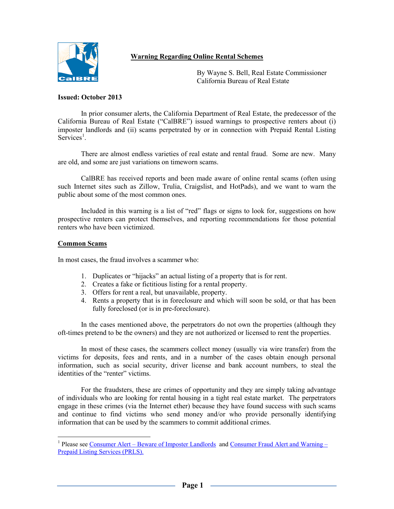# **Warning Regarding Online Rental Schemes**



By Wayne S. Bell, Real Estate Commissioner<br>Cal BRE California Bureau of Real Estate

### **Issued: October 2013**

In prior consumer alerts, the California Department of Real Estate, the predecessor of the California Bureau of Real Estate ("CalBRE") issued warnings to prospective renters about (i) imposter landlords and (ii) scams perpetrated by or in connection with Prepaid Rental Listing  $S$ ervices<sup>[1](#page-0-0)</sup>.

There are almost endless varieties of real estate and rental fraud. Some are new. Many are old, and some are just variations on timeworn scams.

CalBRE has received reports and been made aware of online rental scams (often using such Internet sites such as Zillow, Trulia, Craigslist, and HotPads), and we want to warn the public about some of the most common ones.

Included in this warning is a list of "red" flags or signs to look for, suggestions on how prospective renters can protect themselves, and reporting recommendations for those potential renters who have been victimized.

### **Common Scams**

 $\overline{a}$ 

In most cases, the fraud involves a scammer who:

- 1. Duplicates or "hijacks" an actual listing of a property that is for rent.
- 2. Creates a fake or fictitious listing for a rental property.
- 3. Offers for rent a real, but unavailable, property.
- 4. Rents a property that is in foreclosure and which will soon be sold, or that has been fully foreclosed (or is in pre-foreclosure).

In the cases mentioned above, the perpetrators do not own the properties (although they oft-times pretend to be the owners) and they are not authorized or licensed to rent the properties.

In most of these cases, the scammers collect money (usually via wire transfer) from the victims for deposits, fees and rents, and in a number of the cases obtain enough personal information, such as social security, driver license and bank account numbers, to steal the identities of the "renter" victims.

For the fraudsters, these are crimes of opportunity and they are simply taking advantage of individuals who are looking for rental housing in a tight real estate market. The perpetrators engage in these crimes (via the Internet ether) because they have found success with such scams and continue to find victims who send money and/or who provide personally identifying information that can be used by the scammers to commit additional crimes.

<span id="page-0-0"></span><sup>&</sup>lt;sup>1</sup> Please see [Consumer Alert – Beware of Imposter Landlords](http://www.bre.ca.gov/files/pdf/ca/2010/ConsumerAlert_WarningOnRentScam11_2010.pdf) and Consumer Fraud Alert and Warning – [Prepaid Listing Services \(PRLS\).](http://www.bre.ca.gov/files/pdf/ca/2012/ConsumerAlert_PRLS.pdf)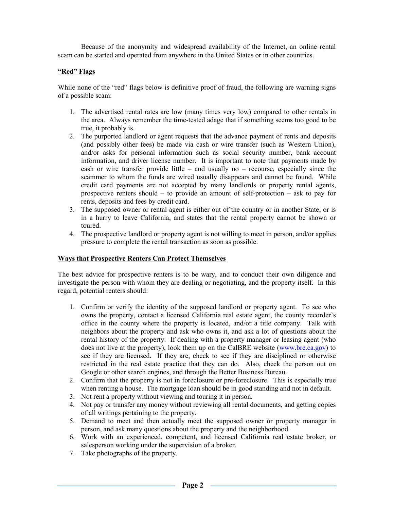Because of the anonymity and widespread availability of the Internet, an online rental scam can be started and operated from anywhere in the United States or in other countries.

## **"Red" Flags**

While none of the "red" flags below is definitive proof of fraud, the following are warning signs of a possible scam:

- 1. The advertised rental rates are low (many times very low) compared to other rentals in the area. Always remember the time-tested adage that if something seems too good to be true, it probably is.
- 2. The purported landlord or agent requests that the advance payment of rents and deposits (and possibly other fees) be made via cash or wire transfer (such as Western Union), and/or asks for personal information such as social security number, bank account information, and driver license number. It is important to note that payments made by cash or wire transfer provide little – and usually no – recourse, especially since the scammer to whom the funds are wired usually disappears and cannot be found. While credit card payments are not accepted by many landlords or property rental agents, prospective renters should – to provide an amount of self-protection – ask to pay for rents, deposits and fees by credit card.
- 3. The supposed owner or rental agent is either out of the country or in another State, or is in a hurry to leave California, and states that the rental property cannot be shown or toured.
- 4. The prospective landlord or property agent is not willing to meet in person, and/or applies pressure to complete the rental transaction as soon as possible.

### **Ways that Prospective Renters Can Protect Themselves**

The best advice for prospective renters is to be wary, and to conduct their own diligence and investigate the person with whom they are dealing or negotiating, and the property itself. In this regard, potential renters should:

- 1. Confirm or verify the identity of the supposed landlord or property agent. To see who owns the property, contact a licensed California real estate agent, the county recorder's office in the county where the property is located, and/or a title company. Talk with neighbors about the property and ask who owns it, and ask a lot of questions about the rental history of the property. If dealing with a property manager or leasing agent (who does not live at the property), look them up on the CalBRE website [\(www.bre.ca.gov\)](http://www.bre.ca.gov/) to see if they are licensed. If they are, check to see if they are disciplined or otherwise restricted in the real estate practice that they can do. Also, check the person out on Google or other search engines, and through the Better Business Bureau.
- 2. Confirm that the property is not in foreclosure or pre-foreclosure. This is especially true when renting a house. The mortgage loan should be in good standing and not in default.
- 3. Not rent a property without viewing and touring it in person.
- 4. Not pay or transfer any money without reviewing all rental documents, and getting copies of all writings pertaining to the property.
- 5. Demand to meet and then actually meet the supposed owner or property manager in person, and ask many questions about the property and the neighborhood.
- 6. Work with an experienced, competent, and licensed California real estate broker, or salesperson working under the supervision of a broker.
- 7. Take photographs of the property.